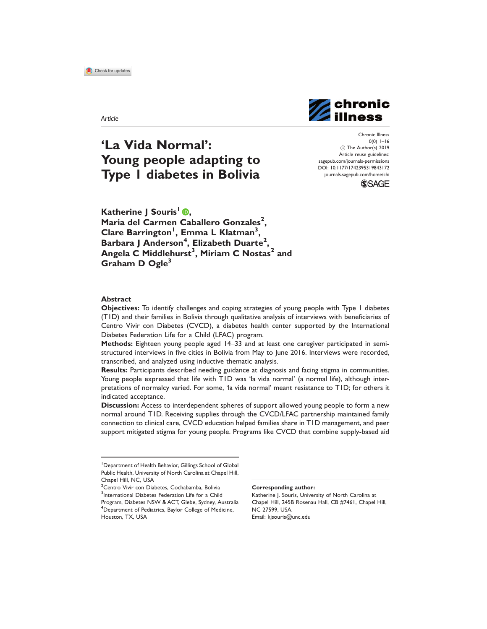Article



# 'La Vida Normal': Young people adapting to Type 1 diabetes in Bolivia

Chronic Illness  $0(0)$  1–16 (C) The Author(s) 2019 Article reuse guidelines: [sagepub.com/journals-permissions](http://uk.sagepub.com/en-gb/journals-permissions) [DOI: 10.1177/1742395319843172](http://dx.doi.org/10.1177/1742395319843172) <journals.sagepub.com/home/chi>

**SSAGE** 

Katherine I Souris<sup>1</sup> **D**. Maria del Carmen Caballero Gonzales<sup>2</sup>, Clare Barrington<sup>1</sup>, Emma L Klatman<sup>3</sup>, Barbara J Anderson<sup>4</sup>, Elizabeth Duarte<sup>2</sup>, Angela C Middlehurst $^3$ , Miriam C Nostas $^2$  and Graham D  $O$ gle $3$ 

#### Abstract

Objectives:To identify challenges and coping strategies of young people with Type 1 diabetes (T1D) and their families in Bolivia through qualitative analysis of interviews with beneficiaries of Centro Vivir con Diabetes (CVCD), a diabetes health center supported by the International Diabetes Federation Life for a Child (LFAC) program.

Methods: Eighteen young people aged 14–33 and at least one caregiver participated in semistructured interviews in five cities in Bolivia from May to June 2016. Interviews were recorded, transcribed, and analyzed using inductive thematic analysis.

Results: Participants described needing guidance at diagnosis and facing stigma in communities. Young people expressed that life with T1D was 'la vida normal' (a normal life), although interpretations of normalcy varied. For some, 'la vida normal' meant resistance to T1D; for others it indicated acceptance.

**Discussion:** Access to interdependent spheres of support allowed young people to form a new normal around T1D. Receiving supplies through the CVCD/LFAC partnership maintained family connection to clinical care, CVCD education helped families share in T1D management, and peer support mitigated stigma for young people. Programs like CVCD that combine supply-based aid

#### Corresponding author:

Katherine J. Souris, University of North Carolina at Chapel Hill, 245B Rosenau Hall, CB #7461, Chapel Hill, NC 27599, USA. Email: [kjsouris@unc.edu](mailto:kjsouris@unc.edu)

<sup>&</sup>lt;sup>1</sup>Department of Health Behavior, Gillings School of Global Public Health, University of North Carolina at Chapel Hill, Chapel Hill, NC, USA

<sup>&</sup>lt;sup>2</sup> Centro Vivir con Diabetes, Cochabamba, Bolivia <sup>3</sup>International Diabetes Federation Life for a Child Program, Diabetes NSW & ACT, Glebe, Sydney, Australia <sup>4</sup>Department of Pediatrics, Baylor College of Medicine, Houston, TX, USA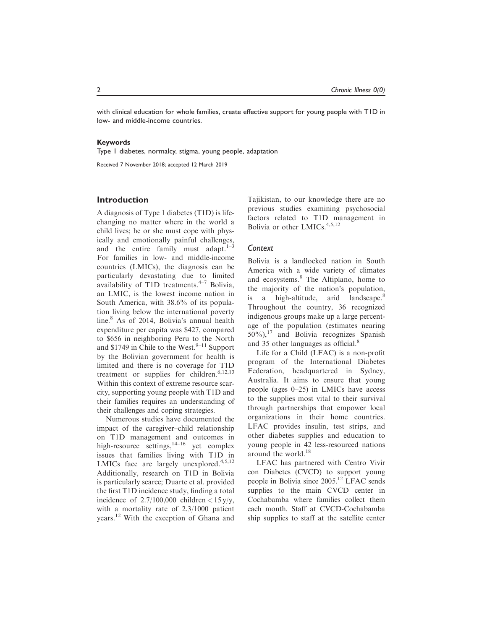with clinical education for whole families, create effective support for young people with T1D in low- and middle-income countries.

#### Keywords

Type 1 diabetes, normalcy, stigma, young people, adaptation

Received 7 November 2018; accepted 12 March 2019

# Introduction

A diagnosis of Type 1 diabetes (T1D) is lifechanging no matter where in the world a child lives; he or she must cope with physically and emotionally painful challenges, and the entire family must adapt. $1-3$ For families in low- and middle-income countries (LMICs), the diagnosis can be particularly devastating due to limited availability of T1D treatments. $4-7$  Bolivia, an LMIC, is the lowest income nation in South America, with 38.6% of its population living below the international poverty line.<sup>8</sup> As of 2014, Bolivia's annual health expenditure per capita was \$427, compared to \$656 in neighboring Peru to the North and \$1749 in Chile to the West. $9-11$  Support by the Bolivian government for health is limited and there is no coverage for T1D treatment or supplies for children.<sup>6,12,13</sup> Within this context of extreme resource scarcity, supporting young people with T1D and their families requires an understanding of their challenges and coping strategies.

Numerous studies have documented the impact of the caregiver–child relationship on T1D management and outcomes in high-resource settings,  $14-16$  yet complex issues that families living with T1D in LMICs face are largely unexplored. $4,5,12$ Additionally, research on T1D in Bolivia is particularly scarce; Duarte et al. provided the first T1D incidence study, finding a total incidence of  $2.7/100,000$  children <  $15 y/y$ , with a mortality rate of 2.3/1000 patient years.<sup>12</sup> With the exception of Ghana and

Tajikistan, to our knowledge there are no previous studies examining psychosocial factors related to T1D management in Bolivia or other LMICs. $4,5,12$ 

# Context

Bolivia is a landlocked nation in South America with a wide variety of climates and ecosystems.<sup>8</sup> The Altiplano, home to the majority of the nation's population, is a high-altitude, arid landscape. $8$ Throughout the country, 36 recognized indigenous groups make up a large percentage of the population (estimates nearing  $50\%$ ,<sup>17</sup> and Bolivia recognizes Spanish and 35 other languages as official.<sup>8</sup>

Life for a Child (LFAC) is a non-profit program of the International Diabetes Federation, headquartered in Sydney, Australia. It aims to ensure that young people (ages 0–25) in LMICs have access to the supplies most vital to their survival through partnerships that empower local organizations in their home countries. LFAC provides insulin, test strips, and other diabetes supplies and education to young people in 42 less-resourced nations around the world. $18$ 

LFAC has partnered with Centro Vivir con Diabetes (CVCD) to support young people in Bolivia since 2005.<sup>12</sup> LFAC sends supplies to the main CVCD center in Cochabamba where families collect them each month. Staff at CVCD-Cochabamba ship supplies to staff at the satellite center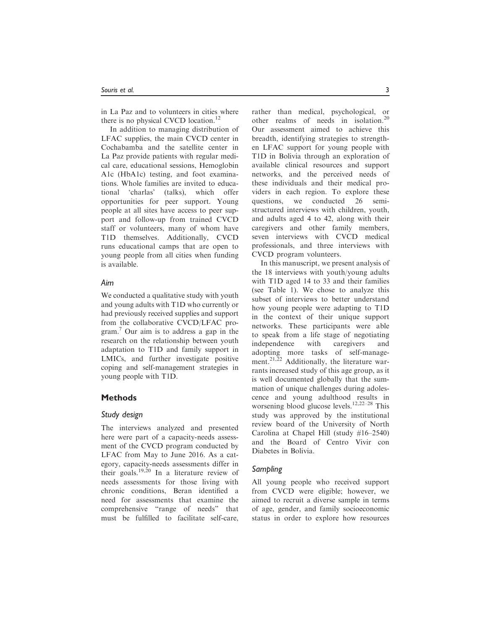in La Paz and to volunteers in cities where there is no physical CVCD location.<sup>12</sup>

In addition to managing distribution of LFAC supplies, the main CVCD center in Cochabamba and the satellite center in La Paz provide patients with regular medical care, educational sessions, Hemoglobin A1c (HbA1c) testing, and foot examinations. Whole families are invited to educational 'charlas' (talks), which offer opportunities for peer support. Young people at all sites have access to peer support and follow-up from trained CVCD staff or volunteers, many of whom have T1D themselves. Additionally, CVCD runs educational camps that are open to young people from all cities when funding is available.

# Aim

We conducted a qualitative study with youth and young adults with T1D who currently or had previously received supplies and support from the collaborative CVCD/LFAC program.7 Our aim is to address a gap in the research on the relationship between youth adaptation to T1D and family support in LMICs, and further investigate positive coping and self-management strategies in young people with T1D.

# Methods

# Study design

The interviews analyzed and presented here were part of a capacity-needs assessment of the CVCD program conducted by LFAC from May to June 2016. As a category, capacity-needs assessments differ in their goals.<sup>19,20</sup> In a literature review of needs assessments for those living with chronic conditions, Beran identified a need for assessments that examine the comprehensive "range of needs" that must be fulfilled to facilitate self-care, rather than medical, psychological, or other realms of needs in isolation.<sup>20</sup> Our assessment aimed to achieve this breadth, identifying strategies to strengthen LFAC support for young people with T1D in Bolivia through an exploration of available clinical resources and support networks, and the perceived needs of these individuals and their medical providers in each region. To explore these questions, we conducted 26 semistructured interviews with children, youth, and adults aged 4 to 42, along with their caregivers and other family members, seven interviews with CVCD medical

professionals, and three interviews with

CVCD program volunteers. In this manuscript, we present analysis of the 18 interviews with youth/young adults with T1D aged 14 to 33 and their families (see Table 1). We chose to analyze this subset of interviews to better understand how young people were adapting to T1D in the context of their unique support networks. These participants were able to speak from a life stage of negotiating independence with caregivers and adopting more tasks of self-management.<sup>21,22</sup> Additionally, the literature warrants increased study of this age group, as it is well documented globally that the summation of unique challenges during adolescence and young adulthood results in worsening blood glucose levels.<sup>12,22–28</sup> This study was approved by the institutional review board of the University of North Carolina at Chapel Hill (study #16–2540) and the Board of Centro Vivir con Diabetes in Bolivia.

# Sampling

All young people who received support from CVCD were eligible; however, we aimed to recruit a diverse sample in terms of age, gender, and family socioeconomic status in order to explore how resources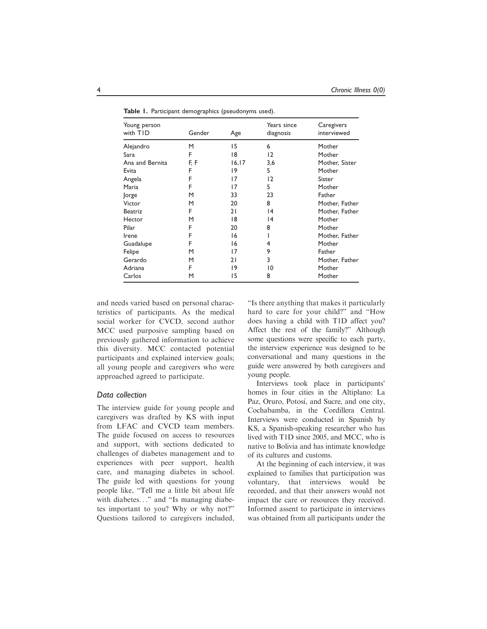| Young person<br>with TID | Gender | Age    | Years since<br>diagnosis | Caregivers<br>interviewed |
|--------------------------|--------|--------|--------------------------|---------------------------|
| Alejandro                | M      | 15     | 6                        | Mother                    |
| Sara                     | F      | 18     | 12                       | Mother                    |
| Ana and Bernita          | F, F   | 16, 17 | 3,6                      | Mother, Sister            |
| Evita                    | F      | 19     | 5                        | Mother                    |
| Angela                   | F      | 17     | 12                       | Sister                    |
| Maria                    | F      | 17     | 5                        | Mother                    |
| <b>Jorge</b>             | М      | 33     | 23                       | Father                    |
| Victor                   | M      | 20     | 8                        | Mother, Father            |
| <b>Beatriz</b>           | F      | 21     | 4                        | Mother, Father            |
| Hector                   | M      | 18     | 4                        | Mother                    |
| Pilar                    | F      | 20     | 8                        | Mother                    |
| Irene                    | F      | 16     |                          | Mother, Father            |
| Guadalupe                | F      | 16     | 4                        | Mother                    |
| Felipe                   | М      | 17     | 9                        | Father                    |
| Gerardo                  | M      | 21     | 3                        | Mother, Father            |
| Adriana                  | F      | 19     | 10                       | Mother                    |
| Carlos                   | M      | 15     | 8                        | Mother                    |
|                          |        |        |                          |                           |

Table 1. Participant demographics (pseudonyms used).

and needs varied based on personal characteristics of participants. As the medical social worker for CVCD, second author MCC used purposive sampling based on previously gathered information to achieve this diversity. MCC contacted potential participants and explained interview goals; all young people and caregivers who were approached agreed to participate.

# Data collection

The interview guide for young people and caregivers was drafted by KS with input from LFAC and CVCD team members. The guide focused on access to resources and support, with sections dedicated to challenges of diabetes management and to experiences with peer support, health care, and managing diabetes in school. The guide led with questions for young people like, "Tell me a little bit about life with diabetes..." and "Is managing diabetes important to you? Why or why not?" Questions tailored to caregivers included, "Is there anything that makes it particularly hard to care for your child?" and "How does having a child with T1D affect you? Affect the rest of the family?" Although some questions were specific to each party, the interview experience was designed to be conversational and many questions in the guide were answered by both caregivers and young people.

Interviews took place in participants' homes in four cities in the Altiplano: La Paz, Oruro, Potosí, and Sucre, and one city, Cochabamba, in the Cordillera Central. Interviews were conducted in Spanish by KS, a Spanish-speaking researcher who has lived with T1D since 2005, and MCC, who is native to Bolivia and has intimate knowledge of its cultures and customs.

At the beginning of each interview, it was explained to families that participation was voluntary, that interviews would be recorded, and that their answers would not impact the care or resources they received. Informed assent to participate in interviews was obtained from all participants under the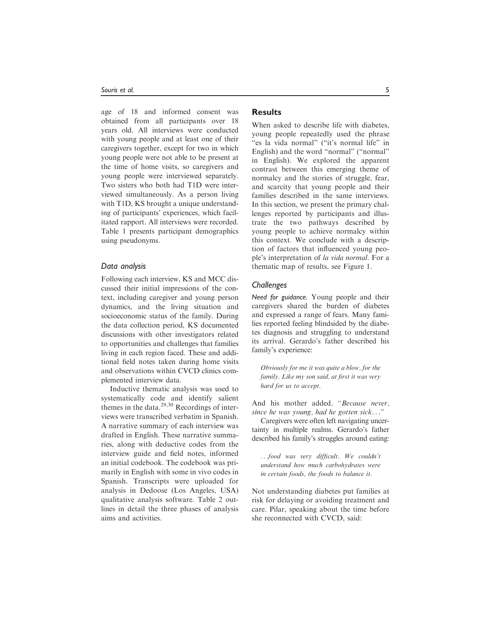age of 18 and informed consent was obtained from all participants over 18 years old. All interviews were conducted with young people and at least one of their caregivers together, except for two in which young people were not able to be present at the time of home visits, so caregivers and young people were interviewed separately. Two sisters who both had T1D were interviewed simultaneously. As a person living with T1D, KS brought a unique understanding of participants' experiences, which facilitated rapport. All interviews were recorded. Table 1 presents participant demographics using pseudonyms.

# Data analysis

Following each interview, KS and MCC discussed their initial impressions of the context, including caregiver and young person dynamics, and the living situation and socioeconomic status of the family. During the data collection period, KS documented discussions with other investigators related to opportunities and challenges that families living in each region faced. These and additional field notes taken during home visits and observations within CVCD clinics complemented interview data.

Inductive thematic analysis was used to systematically code and identify salient themes in the data. $29,30$  Recordings of interviews were transcribed verbatim in Spanish. A narrative summary of each interview was drafted in English. These narrative summaries, along with deductive codes from the interview guide and field notes, informed an initial codebook. The codebook was primarily in English with some in vivo codes in Spanish. Transcripts were uploaded for analysis in Dedoose (Los Angeles, USA) qualitative analysis software. Table 2 outlines in detail the three phases of analysis aims and activities.

# **Results**

When asked to describe life with diabetes, young people repeatedly used the phrase "es la vida normal" ("it's normal life" in English) and the word "normal" ("normal" in English). We explored the apparent contrast between this emerging theme of normalcy and the stories of struggle, fear, and scarcity that young people and their families described in the same interviews. In this section, we present the primary challenges reported by participants and illustrate the two pathways described by young people to achieve normalcy within this context. We conclude with a description of factors that influenced young people's interpretation of la vida normal. For a thematic map of results, see Figure 1.

# **Challenges**

Need for guidance. Young people and their caregivers shared the burden of diabetes and expressed a range of fears. Many families reported feeling blindsided by the diabetes diagnosis and struggling to understand its arrival. Gerardo's father described his family's experience:

Obviously for me it was quite a blow, for the family. Like my son said, at first it was very hard for us to accept.

And his mother added, "Because never, since he was young, had he gotten sick..."

Caregivers were often left navigating uncertainty in multiple realms. Gerardo's father described his family's struggles around eating:

...food was very difficult. We couldn't understand how much carbohydrates were in certain foods, the foods to balance it.

Not understanding diabetes put families at risk for delaying or avoiding treatment and care. Pilar, speaking about the time before she reconnected with CVCD, said: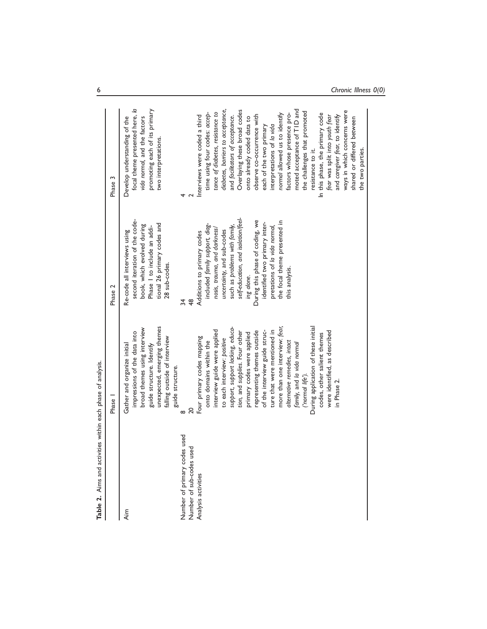| Table 2. Aims and acti                                       | vities within each phase of analysis.                                                                                                                                                                                                                                                                                                                                                                                                                                                                                                                             |                                                                                                                                                                                                                                                                                                                                                                         |                                                                                                                                                                                                                                                                                                                                                                                                                                                                                                                                                                                                                            |
|--------------------------------------------------------------|-------------------------------------------------------------------------------------------------------------------------------------------------------------------------------------------------------------------------------------------------------------------------------------------------------------------------------------------------------------------------------------------------------------------------------------------------------------------------------------------------------------------------------------------------------------------|-------------------------------------------------------------------------------------------------------------------------------------------------------------------------------------------------------------------------------------------------------------------------------------------------------------------------------------------------------------------------|----------------------------------------------------------------------------------------------------------------------------------------------------------------------------------------------------------------------------------------------------------------------------------------------------------------------------------------------------------------------------------------------------------------------------------------------------------------------------------------------------------------------------------------------------------------------------------------------------------------------------|
|                                                              | Phase 1                                                                                                                                                                                                                                                                                                                                                                                                                                                                                                                                                           | Phase 2                                                                                                                                                                                                                                                                                                                                                                 | Phase 3                                                                                                                                                                                                                                                                                                                                                                                                                                                                                                                                                                                                                    |
| Aim                                                          | unexpected, emerging themes<br>broad themes using interview<br>impressions of the data into<br>falling outside of interview<br>Gather and organize initial<br>guide structure. Identify                                                                                                                                                                                                                                                                                                                                                                           | second iteration of the code-<br>tional 26 primary codes and<br>book, which evolved during<br>Phase I to include an addi-<br>Re-code all interviews using<br>28 sub-codes.                                                                                                                                                                                              | focal theme presented here, la<br>promoting each of its primary<br>Develop understanding of the<br>vida normal, and the factors<br>two interpretations.                                                                                                                                                                                                                                                                                                                                                                                                                                                                    |
| es used<br>Number of sub-codes used<br>Number of primary cod | guide structure.<br>20<br>∞                                                                                                                                                                                                                                                                                                                                                                                                                                                                                                                                       | 34<br>48                                                                                                                                                                                                                                                                                                                                                                |                                                                                                                                                                                                                                                                                                                                                                                                                                                                                                                                                                                                                            |
| Analysis activities                                          | During application of these initial<br>support, support lacking, educa-<br>more than one interview: fear,<br>interview guide were applied<br>of the interview guide struc-<br>ture that were mentioned in<br>representing themes outside<br>were identified, as described<br>tion, and supplies. Four other<br>primary codes were applied<br>codes, other salient themes<br>Four primary codes mapping<br>to each interview: positive<br>onto domains within the<br>alternative remedies, intact<br>family, and la vida normal<br>('normal life').<br>in Phase 2. | self-education, and isolation/feel-<br>During this phase of coding, we<br>the focal theme presented in<br>identified two primary inter-<br>included family support, diag-<br>such as problems with family,<br>pretations of la vida normal,<br>nosis, trauma, and darkness/<br>uncertainty, and sub-codes<br>Additions to primary codes<br>this analysis.<br>ing alone. | moted acceptance of TID and<br>diabetes, barriers to acceptance,<br>Overlaying these broad codes<br>ways in which concerns were<br>the challenges that promoted<br>tance of diabetes, resistance to<br>time using four codes: accep-<br>factors whose presence pro-<br>In this phase, the primary code<br>normal allowed us to identify<br>and facilitators of acceptance.<br>observe co-occurrence with<br>and caregiver fear, to identify<br>fear was split into youth fear<br>Interviews were coded a third<br>onto already coded data to<br>interpretations of la vida<br>each of the two primary<br>resistance to it. |
|                                                              |                                                                                                                                                                                                                                                                                                                                                                                                                                                                                                                                                                   |                                                                                                                                                                                                                                                                                                                                                                         | shared or differed between<br>the two parties.                                                                                                                                                                                                                                                                                                                                                                                                                                                                                                                                                                             |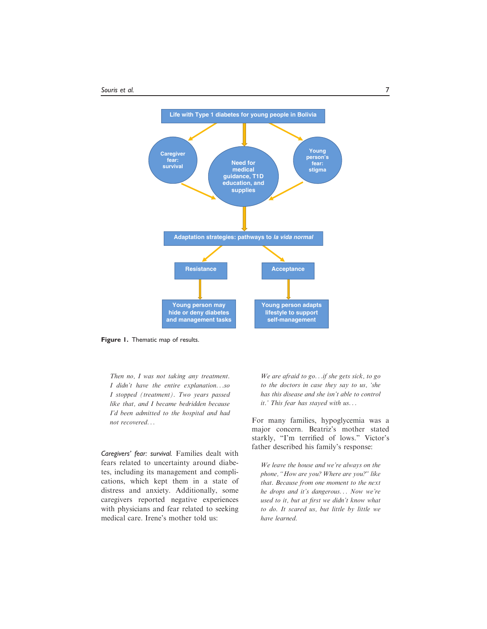

Figure 1. Thematic map of results.

Then no, I was not taking any treatment. I didn't have the entire explanation...so I stopped (treatment). Two years passed like that, and I became bedridden because I'd been admitted to the hospital and had not recovered...

Caregivers' fear: survival. Families dealt with fears related to uncertainty around diabetes, including its management and complications, which kept them in a state of distress and anxiety. Additionally, some caregivers reported negative experiences with physicians and fear related to seeking medical care. Irene's mother told us:

We are afraid to go...if she gets sick, to go to the doctors in case they say to us, 'she has this disease and she isn't able to control it.' This fear has stayed with us...

For many families, hypoglycemia was a major concern. Beatriz's mother stated starkly, "I'm terrified of lows." Victor's father described his family's response:

We leave the house and we're always on the phone, "How are you? Where are you?" like that. Because from one moment to the next he drops and it's dangerous... Now we're used to it, but at first we didn't know what to do. It scared us, but little by little we have learned.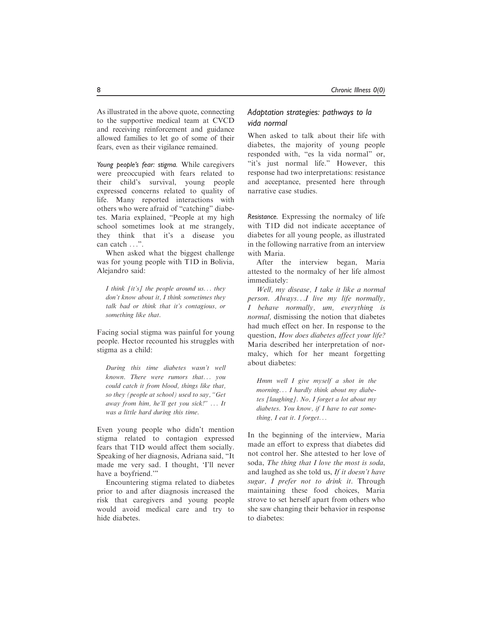As illustrated in the above quote, connecting to the supportive medical team at CVCD and receiving reinforcement and guidance allowed families to let go of some of their fears, even as their vigilance remained.

Young people's fear: stigma. While caregivers were preoccupied with fears related to their child's survival, young people expressed concerns related to quality of life. Many reported interactions with others who were afraid of "catching" diabetes. Maria explained, "People at my high school sometimes look at me strangely, they think that it's a disease you can catch ...".

When asked what the biggest challenge was for young people with T1D in Bolivia, Alejandro said:

I think [it's] the people around us... they don't know about it, I think sometimes they talk bad or think that it's contagious, or something like that.

Facing social stigma was painful for young people. Hector recounted his struggles with stigma as a child:

During this time diabetes wasn't well known. There were rumors that... you could catch it from blood, things like that, so they (people at school) used to say, "Get away from him, he'll get you sick!" ... It was a little hard during this time.

Even young people who didn't mention stigma related to contagion expressed fears that T1D would affect them socially. Speaking of her diagnosis, Adriana said, "It made me very sad. I thought, 'I'll never have a boyfriend."

Encountering stigma related to diabetes prior to and after diagnosis increased the risk that caregivers and young people would avoid medical care and try to hide diabetes.

# Adaptation strategies: pathways to la vida normal

When asked to talk about their life with diabetes, the majority of young people responded with, "es la vida normal" or, "it's just normal life." However, this response had two interpretations: resistance and acceptance, presented here through narrative case studies.

Resistance. Expressing the normalcy of life with T1D did not indicate acceptance of diabetes for all young people, as illustrated in the following narrative from an interview with Maria.

After the interview began, Maria attested to the normalcy of her life almost immediately:

Well, my disease, I take it like a normal person. Always...I live my life normally, I behave normally, um, everything is normal, dismissing the notion that diabetes had much effect on her. In response to the question, How does diabetes affect your life? Maria described her interpretation of normalcy, which for her meant forgetting about diabetes:

Hmm well I give myself a shot in the morning... I hardly think about my diabetes [laughing]. No, I forget a lot about my diabetes. You know, if I have to eat something,  $I$  eat it.  $I$  forget...

In the beginning of the interview, Maria made an effort to express that diabetes did not control her. She attested to her love of soda, The thing that I love the most is soda, and laughed as she told us, If it doesn't have sugar, I prefer not to drink it. Through maintaining these food choices, Maria strove to set herself apart from others who she saw changing their behavior in response to diabetes: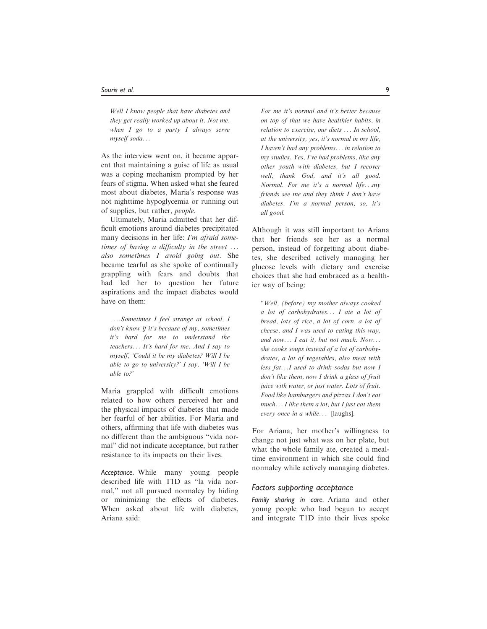Well I know people that have diabetes and they get really worked up about it. Not me, when  $I$  go to a party  $I$  always serve myself soda...

As the interview went on, it became apparent that maintaining a guise of life as usual was a coping mechanism prompted by her fears of stigma. When asked what she feared most about diabetes, Maria's response was not nighttime hypoglycemia or running out of supplies, but rather, people.

Ultimately, Maria admitted that her difficult emotions around diabetes precipitated many decisions in her life: I'm afraid sometimes of having a difficulty in the street ... also sometimes I avoid going out. She became tearful as she spoke of continually grappling with fears and doubts that had led her to question her future aspirations and the impact diabetes would have on them:

...Sometimes I feel strange at school, I don't know if it's because of my, sometimes it's hard for me to understand the teachers... It's hard for me. And I say to myself, 'Could it be my diabetes? Will I be able to go to university?' I say. 'Will I be able to?'

Maria grappled with difficult emotions related to how others perceived her and the physical impacts of diabetes that made her fearful of her abilities. For Maria and others, affirming that life with diabetes was no different than the ambiguous "vida normal" did not indicate acceptance, but rather resistance to its impacts on their lives.

Acceptance. While many young people described life with T1D as "la vida normal," not all pursued normalcy by hiding or minimizing the effects of diabetes. When asked about life with diabetes, Ariana said:

For me it's normal and it's better because on top of that we have healthier habits, in relation to exercise, our diets ... In school, at the university, yes, it's normal in my life, I haven't had any problems... in relation to my studies. Yes, I've had problems, like any other youth with diabetes, but I recover well, thank God, and it's all good. Normal. For me it's a normal life...my friends see me and they think I don't have diabetes, I'm a normal person, so, it's all good.

Although it was still important to Ariana that her friends see her as a normal person, instead of forgetting about diabetes, she described actively managing her glucose levels with dietary and exercise choices that she had embraced as a healthier way of being:

"Well, (before) my mother always cooked a lot of carbohydrates... I ate a lot of bread, lots of rice, a lot of corn, a lot of cheese, and I was used to eating this way, and now... I eat it, but not much. Now... she cooks soups instead of a lot of carbohydrates, a lot of vegetables, also meat with less fat...I used to drink sodas but now I don't like them, now I drink a glass of fruit juice with water, or just water. Lots of fruit. Food like hamburgers and pizzas I don't eat much... I like them a lot, but I just eat them every once in a while... [laughs].

For Ariana, her mother's willingness to change not just what was on her plate, but what the whole family ate, created a mealtime environment in which she could find normalcy while actively managing diabetes.

#### Factors supporting acceptance

Family sharing in care. Ariana and other young people who had begun to accept and integrate T1D into their lives spoke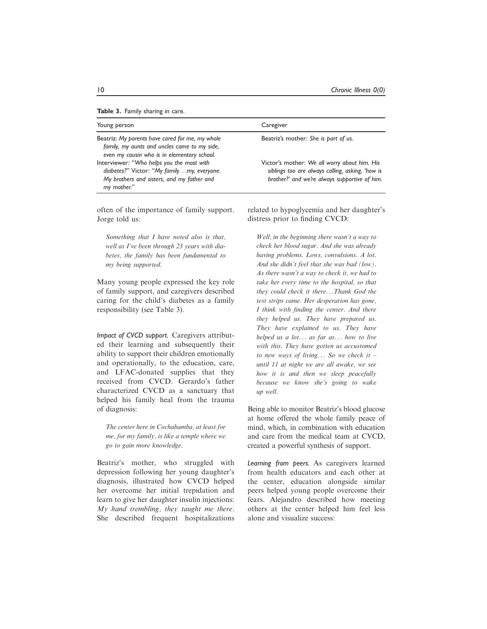| Young person                                                                                                                                         | Caregiver                                                                                                                                         |  |
|------------------------------------------------------------------------------------------------------------------------------------------------------|---------------------------------------------------------------------------------------------------------------------------------------------------|--|
| Beatriz: My parents have cared for me, my whole<br>family, my aunts and uncles came to my side,<br>even my cousin who is in elementary school.       | Beatriz's mother: She is part of us.                                                                                                              |  |
| Interviewer: "Who helps you the most with<br>diabetes?" Victor: "My familymy, everyone.<br>My brothers and sisters, and my father and<br>my mother." | Victor's mother: We all worry about him. His<br>siblings too are always calling, asking, 'how is<br>brother?' and we're always supportive of him. |  |

often of the importance of family support. Jorge told us:

Something that I have noted also is that, well as I've been through 23 years with diabetes, the family has been fundamental to my being supported.

Many young people expressed the key role of family support, and caregivers described caring for the child's diabetes as a family responsibility (see Table 3).

Impact of CVCD support. Caregivers attributed their learning and subsequently their ability to support their children emotionally and operationally, to the education, care, and LFAC-donated supplies that they received from CVCD. Gerardo's father characterized CVCD as a sanctuary that helped his family heal from the trauma of diagnosis:

The center here in Cochabamba, at least for me, for my family, is like a temple where we go to gain more knowledge.

Beatriz's mother, who struggled with depression following her young daughter's diagnosis, illustrated how CVCD helped her overcome her initial trepidation and learn to give her daughter insulin injections: My hand trembling, they taught me there. She described frequent hospitalizations related to hypoglycemia and her daughter's distress prior to finding CVCD:

Well, in the beginning there wasn't a way to check her blood sugar. And she was already having problems. Lows, convulsions. A lot. And she didn't feel that she was bad (low). As there wasn't a way to check it, we had to take her every time to the hospital, so that they could check it there...Thank God the test strips came. Her desperation has gone, I think with finding the center. And there they helped us. They have prepared us. They have explained to us. They have helped us a lot... as far as... how to live with this. They have gotten us accustomed to new ways of living... So we check it  $$ until 11 at night we are all awake, we see how it is and then we sleep peacefully because we know she's going to wake up well.

Being able to monitor Beatriz's blood glucose at home offered the whole family peace of mind, which, in combination with education and care from the medical team at CVCD, created a powerful synthesis of support.

Learning from peers. As caregivers learned from health educators and each other at the center, education alongside similar peers helped young people overcome their fears. Alejandro described how meeting others at the center helped him feel less alone and visualize success: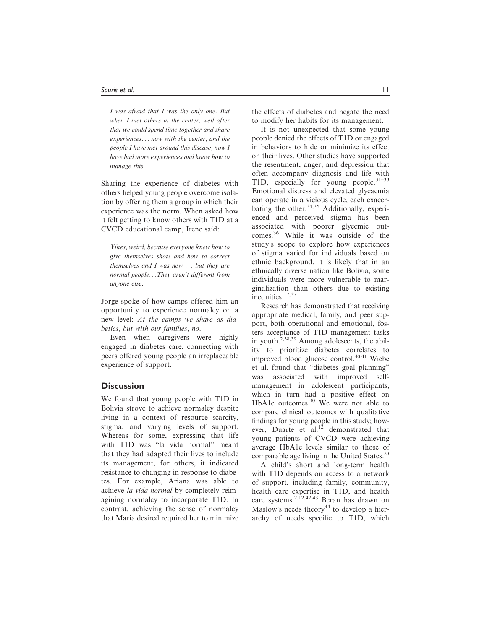I was afraid that I was the only one. But when I met others in the center, well after that we could spend time together and share experiences... now with the center, and the people I have met around this disease, now I have had more experiences and know how to manage this.

Sharing the experience of diabetes with others helped young people overcome isolation by offering them a group in which their experience was the norm. When asked how it felt getting to know others with T1D at a CVCD educational camp, Irene said:

Yikes, weird, because everyone knew how to give themselves shots and how to correct themselves and I was new ... but they are normal people...They aren't different from anyone else.

Jorge spoke of how camps offered him an opportunity to experience normalcy on a new level: At the camps we share as diabetics, but with our families, no.

Even when caregivers were highly engaged in diabetes care, connecting with peers offered young people an irreplaceable experience of support.

# **Discussion**

We found that young people with T1D in Bolivia strove to achieve normalcy despite living in a context of resource scarcity, stigma, and varying levels of support. Whereas for some, expressing that life with T1D was "la vida normal" meant that they had adapted their lives to include its management, for others, it indicated resistance to changing in response to diabetes. For example, Ariana was able to achieve la vida normal by completely reimagining normalcy to incorporate T1D. In contrast, achieving the sense of normalcy that Maria desired required her to minimize the effects of diabetes and negate the need to modify her habits for its management.

It is not unexpected that some young people denied the effects of T1D or engaged in behaviors to hide or minimize its effect on their lives. Other studies have supported the resentment, anger, and depression that often accompany diagnosis and life with T1D, especially for young people. $31-33$ Emotional distress and elevated glycaemia can operate in a vicious cycle, each exacerbating the other.<sup>34,35</sup> Additionally, experienced and perceived stigma has been associated with poorer glycemic outcomes.<sup>36</sup> While it was outside of the study's scope to explore how experiences of stigma varied for individuals based on ethnic background, it is likely that in an ethnically diverse nation like Bolivia, some individuals were more vulnerable to marginalization than others due to existing inequities.<sup>17,37</sup>

Research has demonstrated that receiving appropriate medical, family, and peer support, both operational and emotional, fosters acceptance of T1D management tasks in youth.2,38,39 Among adolescents, the ability to prioritize diabetes correlates to improved blood glucose control.<sup>40,41</sup> Wiebe et al. found that "diabetes goal planning" was associated with improved selfmanagement in adolescent participants, which in turn had a positive effect on HbA1c outcomes.<sup>40</sup> We were not able to compare clinical outcomes with qualitative findings for young people in this study; however, Duarte et al. $12$  demonstrated that young patients of CVCD were achieving average HbA1c levels similar to those of comparable age living in the United States.<sup>23</sup>

A child's short and long-term health with T1D depends on access to a network of support, including family, community, health care expertise in T1D, and health care systems.2,12,42,43 Beran has drawn on Maslow's needs theory<sup>44</sup> to develop a hierarchy of needs specific to T1D, which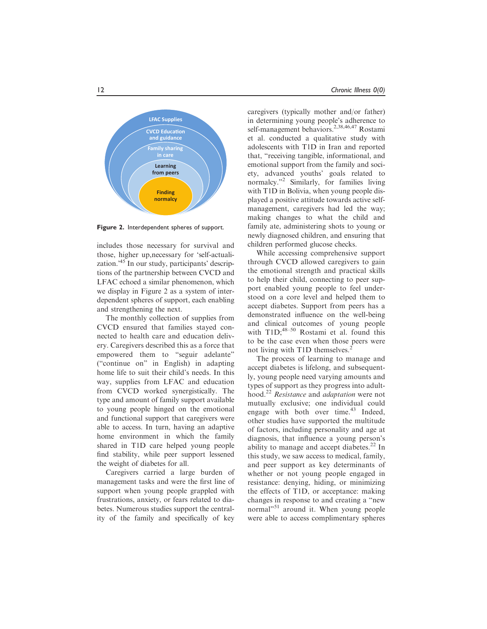

Figure 2. Interdependent spheres of support.

includes those necessary for survival and those, higher up,necessary for 'self-actualization.<sup>45</sup> In our study, participants' descriptions of the partnership between CVCD and LFAC echoed a similar phenomenon, which we display in Figure 2 as a system of interdependent spheres of support, each enabling and strengthening the next.

The monthly collection of supplies from CVCD ensured that families stayed connected to health care and education delivery. Caregivers described this as a force that empowered them to "seguir adelante" ("continue on" in English) in adapting home life to suit their child's needs. In this way, supplies from LFAC and education from CVCD worked synergistically. The type and amount of family support available to young people hinged on the emotional and functional support that caregivers were able to access. In turn, having an adaptive home environment in which the family shared in T1D care helped young people find stability, while peer support lessened the weight of diabetes for all.

Caregivers carried a large burden of management tasks and were the first line of support when young people grappled with frustrations, anxiety, or fears related to diabetes. Numerous studies support the centrality of the family and specifically of key

caregivers (typically mother and/or father) in determining young people's adherence to self-management behaviors.<sup>2,38,46,47</sup> Rostami et al. conducted a qualitative study with adolescents with T1D in Iran and reported that, "receiving tangible, informational, and emotional support from the family and society, advanced youths' goals related to normalcy."2 Similarly, for families living with T1D in Bolivia, when young people displayed a positive attitude towards active selfmanagement, caregivers had led the way; making changes to what the child and family ate, administering shots to young or newly diagnosed children, and ensuring that children performed glucose checks.

While accessing comprehensive support through CVCD allowed caregivers to gain the emotional strength and practical skills to help their child, connecting to peer support enabled young people to feel understood on a core level and helped them to accept diabetes. Support from peers has a demonstrated influence on the well-being and clinical outcomes of young people with  $T1D; ^{48-50}$  Rostami et al. found this to be the case even when those peers were not living with T1D themselves.<sup>2</sup>

The process of learning to manage and accept diabetes is lifelong, and subsequently, young people need varying amounts and types of support as they progress into adulthood.<sup>22</sup> Resistance and *adaptation* were not mutually exclusive; one individual could engage with both over time.<sup>43</sup> Indeed, other studies have supported the multitude of factors, including personality and age at diagnosis, that influence a young person's ability to manage and accept diabetes.<sup>22</sup> In this study, we saw access to medical, family, and peer support as key determinants of whether or not young people engaged in resistance: denying, hiding, or minimizing the effects of T1D, or acceptance: making changes in response to and creating a "new normal"<sup>51</sup> around it. When young people were able to access complimentary spheres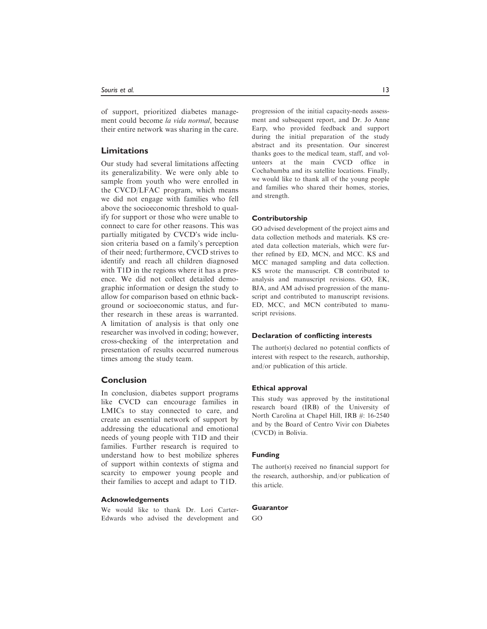of support, prioritized diabetes management could become la vida normal, because their entire network was sharing in the care.

# Limitations

Our study had several limitations affecting its generalizability. We were only able to sample from youth who were enrolled in the CVCD/LFAC program, which means we did not engage with families who fell above the socioeconomic threshold to qualify for support or those who were unable to connect to care for other reasons. This was partially mitigated by CVCD's wide inclusion criteria based on a family's perception of their need; furthermore, CVCD strives to identify and reach all children diagnosed with T1D in the regions where it has a presence. We did not collect detailed demographic information or design the study to allow for comparison based on ethnic background or socioeconomic status, and further research in these areas is warranted. A limitation of analysis is that only one researcher was involved in coding; however, cross-checking of the interpretation and presentation of results occurred numerous times among the study team.

# Conclusion

In conclusion, diabetes support programs like CVCD can encourage families in LMICs to stay connected to care, and create an essential network of support by addressing the educational and emotional needs of young people with T1D and their families. Further research is required to understand how to best mobilize spheres of support within contexts of stigma and scarcity to empower young people and their families to accept and adapt to T1D.

# Acknowledgements

We would like to thank Dr. Lori Carter-Edwards who advised the development and progression of the initial capacity-needs assessment and subsequent report, and Dr. Jo Anne Earp, who provided feedback and support during the initial preparation of the study abstract and its presentation. Our sincerest thanks goes to the medical team, staff, and volunteers at the main CVCD office in Cochabamba and its satellite locations. Finally, we would like to thank all of the young people and families who shared their homes, stories, and strength.

# Contributorship

GO advised development of the project aims and data collection methods and materials. KS created data collection materials, which were further refined by ED, MCN, and MCC. KS and MCC managed sampling and data collection. KS wrote the manuscript. CB contributed to analysis and manuscript revisions. GO, EK, BJA, and AM advised progression of the manuscript and contributed to manuscript revisions. ED, MCC, and MCN contributed to manuscript revisions.

#### Declaration of conflicting interests

The author(s) declared no potential conflicts of interest with respect to the research, authorship, and/or publication of this article.

#### Ethical approval

This study was approved by the institutional research board (IRB) of the University of North Carolina at Chapel Hill, IRB #: 16-2540 and by the Board of Centro Vivir con Diabetes (CVCD) in Bolivia.

### Funding

The author(s) received no financial support for the research, authorship, and/or publication of this article.

# **Guarantor**

GO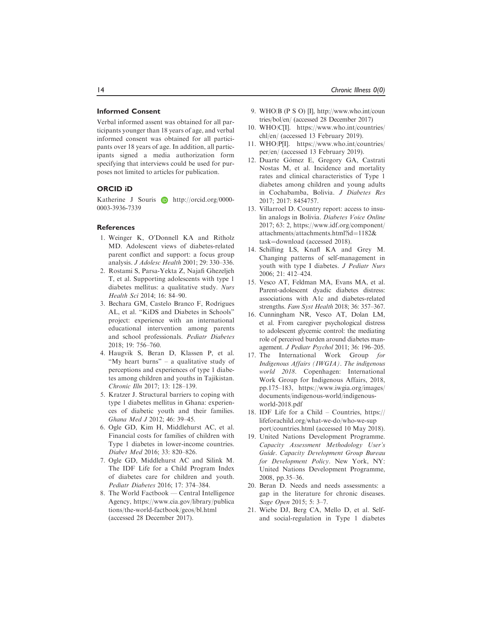# Informed Consent

Verbal informed assent was obtained for all participants younger than 18 years of age, and verbal informed consent was obtained for all participants over 18 years of age. In addition, all participants signed a media authorization form specifying that interviews could be used for purposes not limited to articles for publication.

# ORCID iD

Katherine J Souris **b** [http://orcid.org/0000-](http://orcid.org/0000-0003-3936-7339) [0003-3936-7339](http://orcid.org/0000-0003-3936-7339)

# References

- 1. Weinger K, O'Donnell KA and Ritholz MD. Adolescent views of diabetes-related parent conflict and support: a focus group analysis. J Adolesc Health 2001; 29: 330–336.
- 2. Rostami S, Parsa-Yekta Z, Najafi Ghezeljeh T, et al. Supporting adolescents with type 1 diabetes mellitus: a qualitative study. Nurs Health Sci 2014; 16: 84–90.
- 3. Bechara GM, Castelo Branco F, Rodrigues AL, et al. "KiDS and Diabetes in Schools" project: experience with an international educational intervention among parents and school professionals. Pediatr Diabetes 2018; 19: 756–760.
- 4. Haugvik S, Beran D, Klassen P, et al. "My heart burns" – a qualitative study of perceptions and experiences of type 1 diabetes among children and youths in Tajikistan. Chronic Illn 2017; 13: 128–139.
- 5. Kratzer J. Structural barriers to coping with type 1 diabetes mellitus in Ghana: experiences of diabetic youth and their families. Ghana Med J 2012; 46: 39–45.
- 6. Ogle GD, Kim H, Middlehurst AC, et al. Financial costs for families of children with Type 1 diabetes in lower-income countries. Diabet Med 2016; 33: 820–826.
- 7. Ogle GD, Middlehurst AC and Silink M. The IDF Life for a Child Program Index of diabetes care for children and youth. Pediatr Diabetes 2016; 17: 374–384.
- 8. The World Factbook Central Intelligence Agency, [https://www.cia.gov/library/publica](https://www.cia.gov/library/publications/the-world-factbook/geos/bl.html) [tions/the-world-factbook/geos/bl.html](https://www.cia.gov/library/publications/the-world-factbook/geos/bl.html) (accessed 28 December 2017).
- 9. WHO|B (P S O) [I], [http://www.who.int/coun](http://www.who.int/countries/bol/en/) [tries/bol/en/](http://www.who.int/countries/bol/en/) (accessed 28 December 2017)
- 10. WHO|C[I]. [https://www.who.int/countries/](https://www.who.int/countries/chl/en/) [chl/en/](https://www.who.int/countries/chl/en/) (accessed 13 February 2019).
- 11. WHO|P[I]. [https://www.who.int/countries/](https://www.who.int/countries/per/en/) [per/en/](https://www.who.int/countries/per/en/) (accessed 13 February 2019).
- 12. Duarte Gómez E, Gregory GA, Castrati Nostas M, et al. Incidence and mortality rates and clinical characteristics of Type 1 diabetes among children and young adults in Cochabamba, Bolivia. J Diabetes Res 2017; 2017: 8454757.
- 13. Villarroel D. Country report: access to insulin analogs in Bolivia. Diabetes Voice Online 2017; 63: 2, [https://www.idf.org/component/](https://www.idf.org/component/attachments/attachments.html?id=1182&hx0026;task=download) [attachments/attachments.html?id](https://www.idf.org/component/attachments/attachments.html?id=1182&hx0026;task=download)=[1182](https://www.idf.org/component/attachments/attachments.html?id=1182&hx0026;task=download)& [task](https://www.idf.org/component/attachments/attachments.html?id=1182&hx0026;task=download)=[download](https://www.idf.org/component/attachments/attachments.html?id=1182&hx0026;task=download) (accessed 2018).
- 14. Schilling LS, Knafl KA and Grey M. Changing patterns of self-management in youth with type I diabetes. J Pediatr Nurs 2006; 21: 412–424.
- 15. Vesco AT, Feldman MA, Evans MA, et al. Parent-adolescent dyadic diabetes distress: associations with A1c and diabetes-related strengths. Fam Syst Health 2018; 36: 357-367.
- 16. Cunningham NR, Vesco AT, Dolan LM, et al. From caregiver psychological distress to adolescent glycemic control: the mediating role of perceived burden around diabetes management. J Pediatr Psychol 2011; 36: 196–205.
- 17. The International Work Group for Indigenous Affairs (IWGIA). The indigenous world 2018. Copenhagen: International Work Group for Indigenous Affairs, 2018, pp.175–183, [https://www.iwgia.org/images/](https://www.iwgia.org/images/documents/indigenous-world/indigenous-world-2018.pdf) [documents/indigenous-world/indigenous](https://www.iwgia.org/images/documents/indigenous-world/indigenous-world-2018.pdf)[world-2018.pdf](https://www.iwgia.org/images/documents/indigenous-world/indigenous-world-2018.pdf)
- 18. IDF Life for a Child Countries, [https://](https://lifeforachild.org/what-we-do/who-we-support/countries.html) [lifeforachild.org/what-we-do/who-we-sup](https://lifeforachild.org/what-we-do/who-we-support/countries.html) [port/countries.html](https://lifeforachild.org/what-we-do/who-we-support/countries.html) (accessed 10 May 2018).
- 19. United Nations Development Programme. Capacity Assessment Methodology User's Guide. Capacity Development Group Bureau for Development Policy. New York, NY: United Nations Development Programme, 2008, pp.35–36.
- 20. Beran D. Needs and needs assessments: a gap in the literature for chronic diseases. Sage Open 2015; 5: 3–7.
- 21. Wiebe DJ, Berg CA, Mello D, et al. Selfand social-regulation in Type 1 diabetes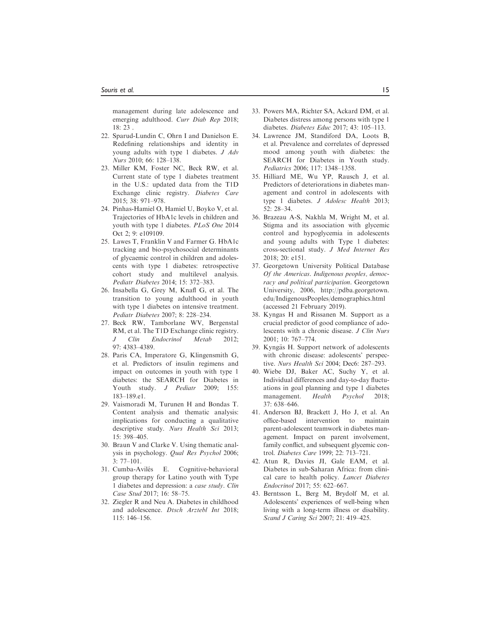management during late adolescence and emerging adulthood. Curr Diab Rep 2018; 18: 23 .

- 22. Sparud-Lundin C, Ohrn I and Danielson E. Redefining relationships and identity in young adults with type 1 diabetes. J Adv Nurs 2010; 66: 128–138.
- 23. Miller KM, Foster NC, Beck RW, et al. Current state of type 1 diabetes treatment in the U.S.: updated data from the T1D Exchange clinic registry. Diabetes Care 2015; 38: 971–978.
- 24. Pinhas-Hamiel O, Hamiel U, Boyko V, et al. Trajectories of HbA1c levels in children and youth with type 1 diabetes. PLoS One 2014 Oct 2; 9: e109109.
- 25. Lawes T, Franklin V and Farmer G. HbA1c tracking and bio-psychosocial determinants of glycaemic control in children and adolescents with type 1 diabetes: retrospective cohort study and multilevel analysis. Pediatr Diabetes 2014; 15: 372–383.
- 26. Insabella G, Grey M, Knafl G, et al. The transition to young adulthood in youth with type 1 diabetes on intensive treatment. Pediatr Diabetes 2007; 8: 228–234.
- 27. Beck RW, Tamborlane WV, Bergenstal RM, et al. The T1D Exchange clinic registry. J Clin Endocrinol Metab 2012; 97: 4383–4389.
- 28. Paris CA, Imperatore G, Klingensmith G, et al. Predictors of insulin regimens and impact on outcomes in youth with type 1 diabetes: the SEARCH for Diabetes in Youth study. *J Pediatr* 2009; 155: 183–189.e1.
- 29. Vaismoradi M, Turunen H and Bondas T. Content analysis and thematic analysis: implications for conducting a qualitative descriptive study. Nurs Health Sci 2013; 15: 398–405.
- 30. Braun V and Clarke V. Using thematic analysis in psychology. Qual Res Psychol 2006;  $3: 77-101$ .
- 31. Cumba-Avilés E. Cognitive-behavioral group therapy for Latino youth with Type 1 diabetes and depression: a case study. Clin Case Stud 2017; 16: 58–75.
- 32. Ziegler R and Neu A. Diabetes in childhood and adolescence. Dtsch Arztebl Int 2018; 115: 146–156.
- 33. Powers MA, Richter SA, Ackard DM, et al. Diabetes distress among persons with type 1 diabetes. Diabetes Educ 2017; 43: 105–113.
- 34. Lawrence JM, Standiford DA, Loots B, et al. Prevalence and correlates of depressed mood among youth with diabetes: the SEARCH for Diabetes in Youth study. Pediatrics 2006; 117: 1348–1358.
- 35. Hilliard ME, Wu YP, Rausch J, et al. Predictors of deteriorations in diabetes management and control in adolescents with type 1 diabetes. J Adolesc Health 2013; 52: 28–34.
- 36. Brazeau A-S, Nakhla M, Wright M, et al. Stigma and its association with glycemic control and hypoglycemia in adolescents and young adults with Type 1 diabetes: cross-sectional study. J Med Internet Res 2018; 20: e151.
- 37. Georgetown University Political Database Of the Americas. Indigenous peoples, democracy and political participation. Georgetown University, 2006, [http://pdba.georgetown.](http://pdba.georgetown.edu/IndigenousPeoples/demographics.html) [edu/IndigenousPeoples/demographics.html](http://pdba.georgetown.edu/IndigenousPeoples/demographics.html) (accessed 21 February 2019).
- 38. Kyngas H and Rissanen M. Support as a crucial predictor of good compliance of adolescents with a chronic disease. J Clin Nurs 2001; 10: 767–774.
- 39. Kyngäs H. Support network of adolescents with chronic disease: adolescents' perspective. Nurs Health Sci 2004; Dec6: 287–293.
- 40. Wiebe DJ, Baker AC, Suchy Y, et al. Individual differences and day-to-day fluctuations in goal planning and type 1 diabetes management. Health Psychol 2018; 37: 638–646.
- 41. Anderson BJ, Brackett J, Ho J, et al. An office-based intervention to maintain parent-adolescent teamwork in diabetes management. Impact on parent involvement, family conflict, and subsequent glycemic control. Diabetes Care 1999; 22: 713–721.
- 42. Atun R, Davies JI, Gale EAM, et al. Diabetes in sub-Saharan Africa: from clinical care to health policy. Lancet Diabetes Endocrinol 2017; 55: 622–667.
- 43. Berntsson L, Berg M, Brydolf M, et al. Adolescents' experiences of well-being when living with a long-term illness or disability. Scand J Caring Sci 2007; 21: 419-425.